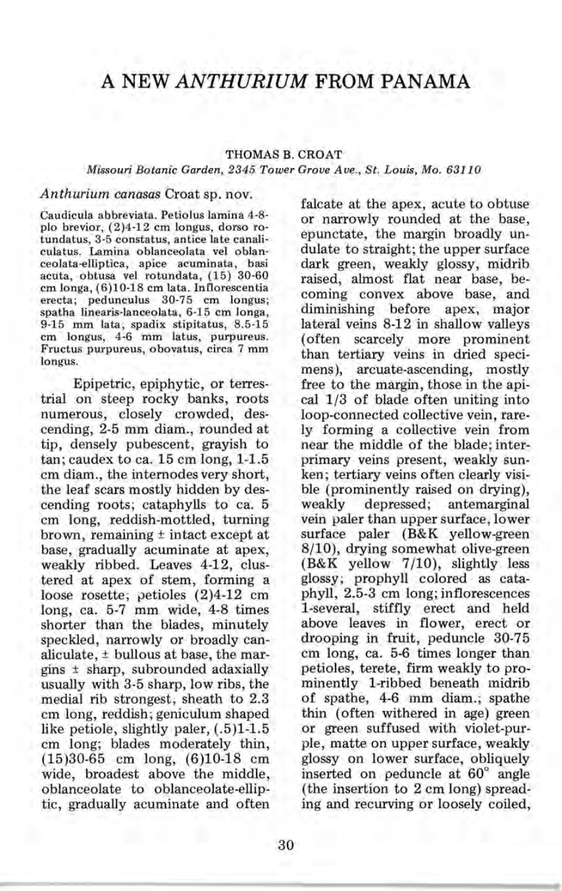# **A NEW** *ANTHURIUM* **FROM PANAMA**

### THOMAS B. CROAT

#### *Missouri Botanic Garden,* 2345 *Tower Grove Ave., St. Louis, Mo. 63110*

## *Anthurium canasas* Croat sp. nov.

Caudicula abbreviata. Petiolus lamina 4-8 plo brevior, (2)4-12 cm longus, dorso rotundatus, 3-5 constatus, antice late canaliculatus. Lamina oblanceolata vel oblanceolata-elliptica, apice acuminata, basi acuta, obtusa vel rotundata, (15) 30-60 cm longa, (6)10-18 cm lata. Inflorescentia erecta; pedunculus 30-75 cm longus; spatha linearis-Ianceolata, 6-15 cm longa, 9-15 mm lata; spadix stipitatus, 8.5-15 cm longus, 4-6 mm latus, purpureus. Fructus purpureus, obovatus, circa 7 mm longus.

Epipetric, epiphytic, or terrestrial on steep rocky banks, roots numerous, closely crowded, descending, 2-5 mm diam., rounded at tip, densely pubescent, grayish to tan; caudex to ca. 15 cm long, 1-1.5 cm diam., the internodes very short, the leaf scars mostly hidden by descending roots; cataphylls to ca. 5 cm long, reddish-mottled, turning brown, remaining ± intact except at base, gradually acuminate at apex, weakly ribbed. Leaves 4-12, clustered at apex of stem, forming a loose rosette; petioles (2)4-12 cm long, ca. 5-7 mm wide, 4-8 times shorter than the blades, minutely speckled, narrowly or broadly canaliculate, ± bullous at base, the margins ± sharp, subrounded adaxially usually with 3-5 sharp, low ribs, the medial rib strongest; sheath to 2.3 cm long, reddish; geniculum shaped like petiole, slightly paler,  $(.5)1-1.5$ cm long; blades moderately thin, (15)30-65 cm long, (6)10-18 cm wide, broadest above the middle, oblanceolate to oblanceolate-elliptic, gradually acuminate and often

falcate at the apex, acute to obtuse or narrowly rounded at the base, epunctate, the margin broadly undulate to straight; the upper surface dark green, weakly glossy, midrib raised, almost flat near base, becoming convex above base, and diminishing before apex; major lateral veins 8-12 in shallow valleys (often scarcely more prominent than tertiary veins in dried specimens), arcuate-ascending, mostly free to the margin, those in the apical 1/3 of blade often uniting into loop-connected collective vein, rarely forming a collective vein from near the middle of the blade; interprimary veins present, weakly sunken; tertiary veins often clearly visible (prominently raised on drying), weakly depressed; antemarginal vein paler than upper surface, lower surface paler (B&K yellow-green 8/10), drying somewhat olive-green (B&K yellow 7/10), slightly less glossy; prophyll colored as cataphyll, 2.5-3 cm long; inflorescences 1-several, stiffly erect and held above leaves in flower, erect or drooping in fruit, peduncle 30-75 cm long, ca. 5-6 times longer than petioles, terete, firm weakly to prominently 1-ribbed beneath midrib of spathe, 4-6 mm diam.; spathe thin (often withered in age) green or green suffused with violet-purple, matte on upper surface, weakly glossy on lower surface, obliquely inserted on peduncle at 60° angle (the insertion to 2 cm long) spreading and recurving or loosely coiled,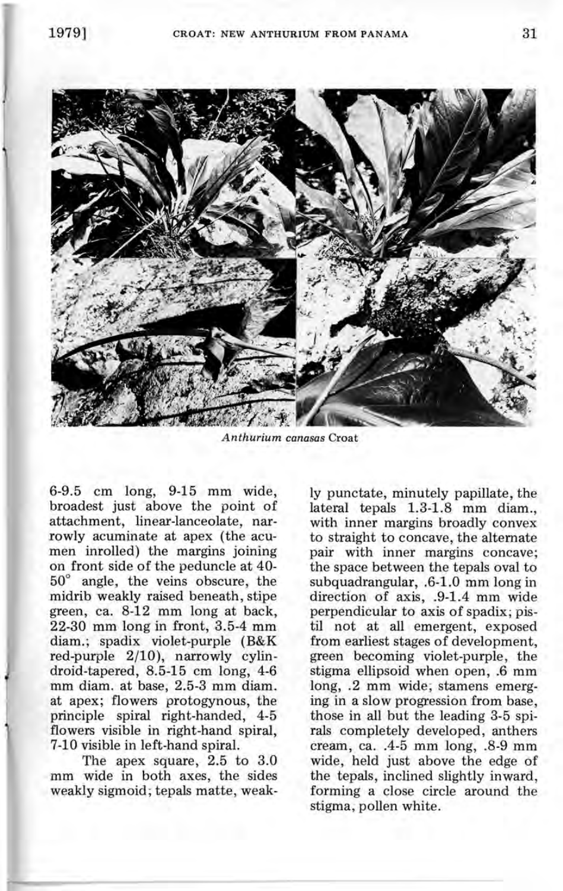

*Anthurium canasas* Croat

6-9.5 cm long, 9-15 mm wide, broadest just above the point of attachment, linear-Ianceolate, narrowly acuminate at apex (the acumen inrolled) the margins joining on front side of the peduncle at 40- 50° angle, the veins obscure, the midrib weakly raised beneath, stipe green, ca. 8-12 mm long at back, 22-30 mm long in front, 3.5-4 mm diam.; spadix violet-purple (B&K red-purple 2/10), narrowly cylindroid-tapered, 8.5-15 cm long, 4-6 mm diam. at base, 2.5-3 mm diam. at apex; flowers protogynous, the principle spiral right-handed, 4-5 flowers visible in right-hand spiral, 7-10 visible in left-hand spiral.

The apex square, 2.5 to 3.0 mm wide in both axes, the sides weakly sigmoid; tepals matte, weakly punctate, minutely papillate, the lateral tepals 1.3-1.8 mm diam., with inner margins broadly convex to straight to concave, the alternate pair with inner margins concave; the space between the tepals oval to subquadrangular, .6-1.0 mm long in direction of axis, .9-1.4 mm wide perpendicular to axis of spadix; pistil not at all emergent, exposed from earliest stages of development, green becoming violet-purple, the stigma ellipsoid when open, .6 mm long, .2 mm wide; stamens emerging in a slow progression from base, those in all but the leading 3-5 spirals completely developed; anthers cream, ca . .4-5 mm long, .8-9 mm wide, held just above the edge of the tepals, inclined slightly inward, forming a close circle around the stigma, pollen white.